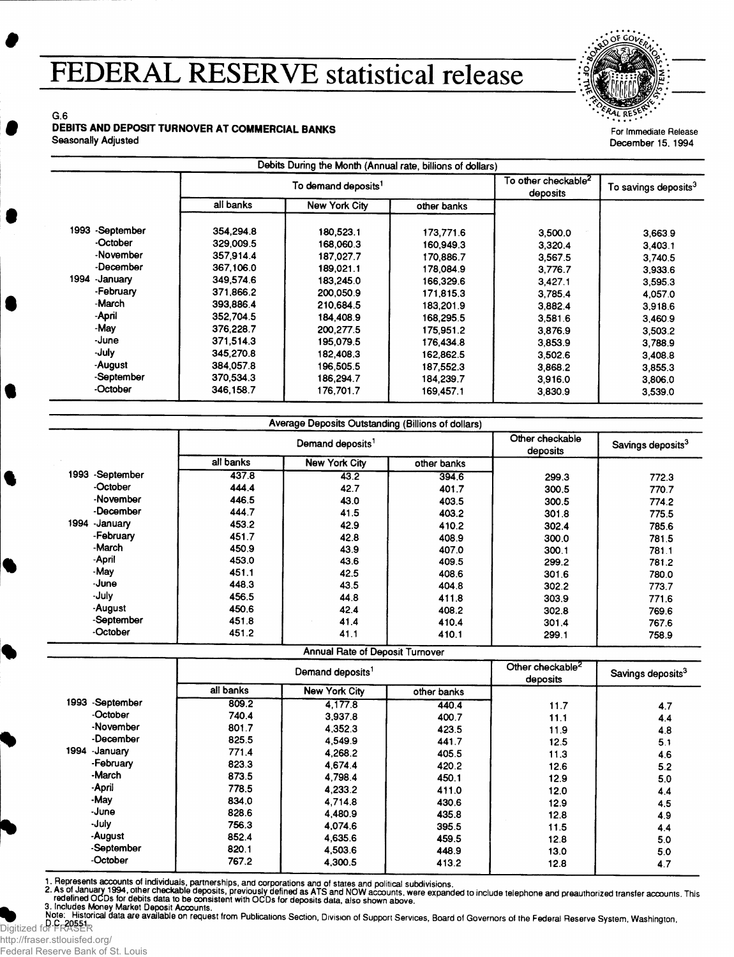## **FEDERAL RESERVE statistical release**



For Immediate Release December 15, 1994

G.6

## DEBITS AND DEPOSIT TURNOVER AT COMMERCIAL BANKS

Seasonally Adjusted

|                  | To demand deposits <sup>1</sup> |               |             | To other checkable $^{\mathsf{2}}$<br>deposits | To savings deposits <sup>3</sup> |
|------------------|---------------------------------|---------------|-------------|------------------------------------------------|----------------------------------|
|                  | all banks                       | New York City | other banks |                                                |                                  |
| 1993 - September | 354.294.8                       | 180,523.1     | 173,771.6   | 3,500.0                                        | 3,663.9                          |
| -October         | 329,009.5                       | 168,060.3     | 160.949.3   | 3,320.4                                        | 3,403.1                          |
| -November        | 357.914.4                       | 187.027.7     | 170.886.7   | 3,567.5                                        | 3.740.5                          |
| -December        | 367,106.0                       | 189,021.1     | 178,084.9   | 3,776.7                                        | 3,933.6                          |
| 1994<br>-January | 349,574.6                       | 183,245.0     | 166,329.6   | 3,427,1                                        | 3,595.3                          |
| -February        | 371,866.2                       | 200,050.9     | 171.815.3   | 3.785.4                                        | 4,057.0                          |
| -March           | 393,886.4                       | 210.684.5     | 183.201.9   | 3,882.4                                        | 3.918.6                          |
| -April           | 352,704.5                       | 184,408.9     | 168,295.5   | 3,581.6                                        | 3.460.9                          |
| -May             | 376.228.7                       | 200,277.5     | 175,951.2   | 3,876.9                                        | 3,503.2                          |
| -June            | 371,514.3                       | 195,079.5     | 176.434.8   | 3.853.9                                        | 3,788.9                          |
| -July            | 345,270.8                       | 182,408.3     | 162,862.5   | 3.502.6                                        | 3.408.8                          |
| -August          | 384,057.8                       | 196,505.5     | 187,552.3   | 3,868.2                                        | 3,855.3                          |
| -September       | 370,534.3                       | 186,294.7     | 184.239.7   | 3,916.0                                        | 3,806.0                          |
| -October         | 346,158.7                       | 176.701.7     | 169,457.1   | 3,830.9                                        | 3,539.0                          |

|                  | Demand deposits <sup>1</sup> |                      |             | Other checkable<br>deposits | Savings deposits <sup>3</sup> |
|------------------|------------------------------|----------------------|-------------|-----------------------------|-------------------------------|
|                  | all banks                    | <b>New York City</b> | other banks |                             |                               |
| 1993 - September | 437.8                        | 43.2                 | 394.6       | 299.3                       | 772.3                         |
| -October         | 444.4                        | 42.7                 | 401.7       | 300.5                       | 770.7                         |
| -November        | 446.5                        | 43.0                 | 403.5       | 300.5                       | 774.2                         |
| -December        | 444.7                        | 41.5                 | 403.2       | 301.8                       | 775.5                         |
| 1994 January     | 453.2                        | 42.9                 | 410.2       | 302.4                       | 785.6                         |
| -February        | 451.7                        | 42.8                 | 408.9       | 300.0                       | 781.5                         |
| -March           | 450.9                        | 43.9                 | 407.0       | 300.1                       | 781.1                         |
| -April           | 453.0                        | 43.6                 | 409.5       | 299.2                       | 781.2                         |
| -May             | 451.1                        | 42.5                 | 408.6       | 301.6                       | 780.0                         |
| -June            | 448.3                        | 43.5                 | 404.8       | 302.2                       | 773.7                         |
| -July            | 456.5                        | 44.8                 | 411.8       | 303.9                       | 771.6                         |
| -August          | 450.6                        | 42.4                 | 408.2       | 302.8                       | 769.6                         |
| -September       | 451.8                        | 41.4                 | 410.4       | 301.4                       | 767.6                         |
| -October         | 451.2                        | 41.1                 | 410.1       | 299.1                       | 758.9                         |

|                  | Demand deposits <sup>1</sup> |               |             | Other checkable <sup>2</sup><br>deposits | Savings deposits <sup>3</sup> |
|------------------|------------------------------|---------------|-------------|------------------------------------------|-------------------------------|
|                  | all banks                    | New York City | other banks |                                          |                               |
| 1993 - September | 809.2                        | 4.177.8       | 440.4       | 11.7                                     | 4.7                           |
| -October         | 740.4                        | 3.937.8       | 400.7       | 11.1                                     | 4.4                           |
| -November        | 801.7                        | 4.352.3       | 423.5       | 11.9                                     | 4.8                           |
| -December        | 825.5                        | 4,549.9       | 441.7       | 12.5                                     | 5.1                           |
| 1994 - January   | 771.4                        | 4.268.2       | 405.5       | 11.3                                     | 4.6                           |
| -February        | 823.3                        | 4.674.4       | 420.2       | 12.6                                     | 5.2                           |
| -March           | 873.5                        | 4.798.4       | 450.1       | 12.9                                     | 5.0                           |
| -April           | 778.5                        | 4.233.2       | 411.0       | 12.0                                     | 4.4                           |
| -May             | 834.0                        | 4.714.8       | 430.6       | 12.9                                     | 4.5                           |
| -June            | 828.6                        | 4.480.9       | 435.8       | 12.8                                     | 4.9                           |
| -July            | 756.3                        | 4.074.6       | 395.5       | 11.5                                     | 4.4                           |
| -August          | 852.4                        | 4.635.6       | 459.5       | 12.8                                     | 5.0                           |
| -September       | 820.1                        | 4,503.6       | 448.9       | 13.0                                     | 5.0                           |
| -October         | 767.2                        | 4,300.5       | 413.2       | 12.8                                     | 4.7                           |

1. Hepresents accounts of individuals, partnerships, and corporations and of states and political subdivisions.<br>2. As of January 1994, other checkable deposits, previously defined as ATS and NOW accounts, were expanded to

3. Includes Money Market Deposit Accounts.<br>Note: Historical data are available on request from Publications Section, Division of Support Services, Board of Governors of the Federal Reserve System, Washingtor<br>D.C. 20551 Digitized for FRASER

http://fraser.stlouisfed.org/ Federal Reserve Bank of St. Louis